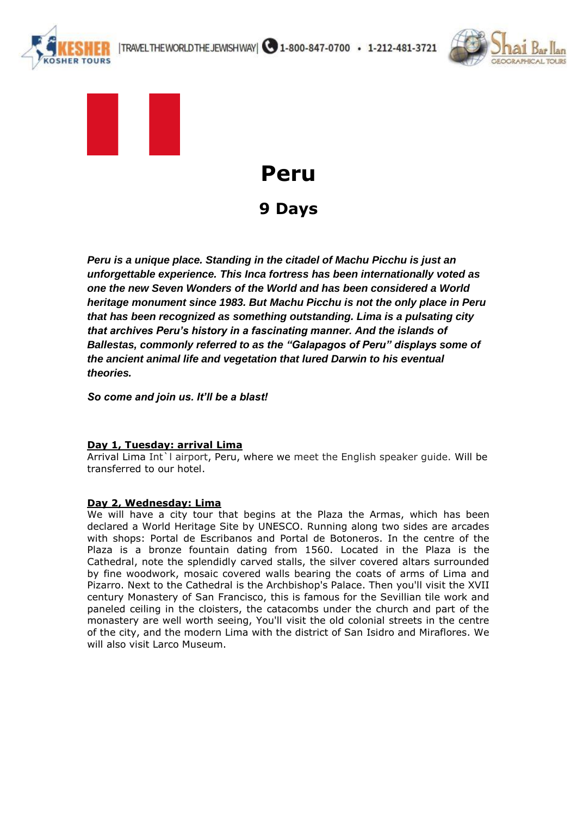





# **Peru 9 Days**

*Peru is a unique place. Standing in the citadel of Machu Picchu is just an unforgettable experience. This Inca fortress has been internationally voted as one the new Seven Wonders of the World and has been considered a World heritage monument since 1983. But Machu Picchu is not the only place in Peru that has been recognized as something outstanding. Lima is a pulsating city that archives Peru's history in a fascinating manner. And the islands of Ballestas, commonly referred to as the "Galapagos of Peru" displays some of the ancient animal life and vegetation that lured Darwin to his eventual theories.*

*So come and join us. It'll be a blast!*

# **Day 1, Tuesday: arrival Lima**

Arrival Lima Int`l airport, Peru, where we meet the English speaker guide. Will be transferred to our hotel.

### **Day 2, Wednesday: Lima**

We will have a city tour that begins at the Plaza the Armas, which has been declared a World Heritage Site by UNESCO. Running along two sides are arcades with shops: Portal de Escribanos and Portal de Botoneros. In the centre of the Plaza is a bronze fountain dating from 1560. Located in the Plaza is the Cathedral, note the splendidly carved stalls, the silver covered altars surrounded by fine woodwork, mosaic covered walls bearing the coats of arms of Lima and Pizarro. Next to the Cathedral is the Archbishop's Palace. Then you'll visit the XVII century Monastery of San Francisco, this is famous for the Sevillian tile work and paneled ceiling in the cloisters, the catacombs under the church and part of the monastery are well worth seeing, You'll visit the old colonial streets in the centre of the city, and the modern Lima with the district of San Isidro and Miraflores. We will also visit Larco Museum.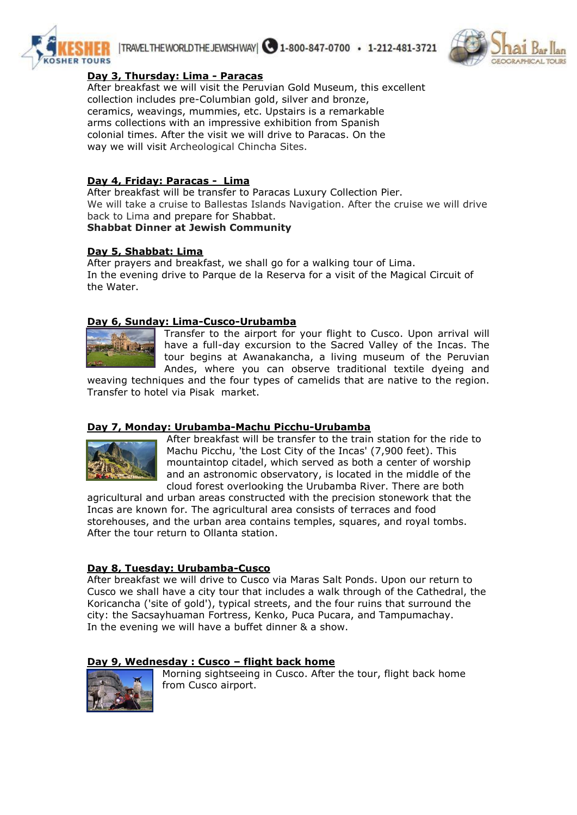



## **Day 3, Thursday: Lima - Paracas**

After breakfast we will visit the Peruvian Gold Museum, this excellent collection includes pre-Columbian gold, silver and bronze, ceramics, weavings, mummies, etc. Upstairs is a remarkable arms collections with an impressive exhibition from Spanish colonial times. After the visit we will drive to Paracas. On the way we will visit Archeological Chincha Sites.

### **Day 4, Friday: Paracas - Lima**

After breakfast will be transfer to Paracas Luxury Collection Pier. We will take a cruise to Ballestas Islands Navigation. After the cruise we will drive back to Lima and prepare for Shabbat. **Shabbat Dinner at Jewish Community**

### **Day 5, Shabbat: Lima**

After prayers and breakfast, we shall go for a walking tour of Lima. In the evening drive to Parque de la Reserva for a visit of the Magical Circuit of the Water.

#### **Day 6, Sunday: Lima-Cusco-Urubamba**



Transfer to the airport for your flight to Cusco. Upon arrival will have a full-day excursion to the Sacred Valley of the Incas. The tour begins at Awanakancha, a living museum of the Peruvian Andes, where you can observe traditional textile dyeing and

weaving techniques and the four types of camelids that are native to the region. Transfer to hotel via Pisak market.

#### **Day 7, Monday: Urubamba-Machu Picchu-Urubamba**



After breakfast will be transfer to the train station for the ride to Machu Picchu, 'the Lost City of the Incas' (7,900 feet). This mountaintop citadel, which served as both a center of worship and an astronomic observatory, is located in the middle of the cloud forest overlooking the Urubamba River. There are both

agricultural and urban areas constructed with the precision stonework that the Incas are known for. The agricultural area consists of terraces and food storehouses, and the urban area contains temples, squares, and royal tombs. After the tour return to Ollanta station.

### **Day 8, Tuesday: Urubamba-Cusco**

After breakfast we will drive to Cusco via Maras Salt Ponds. Upon our return to Cusco we shall have a city tour that includes a walk through of the Cathedral, the Koricancha ('site of gold'), typical streets, and the four ruins that surround the city: the Sacsayhuaman Fortress, Kenko, Puca Pucara, and Tampumachay. In the evening we will have a buffet dinner & a show.

### **Day 9, Wednesday : Cusco – flight back home**



Morning sightseeing in Cusco. After the tour, flight back home from Cusco airport.